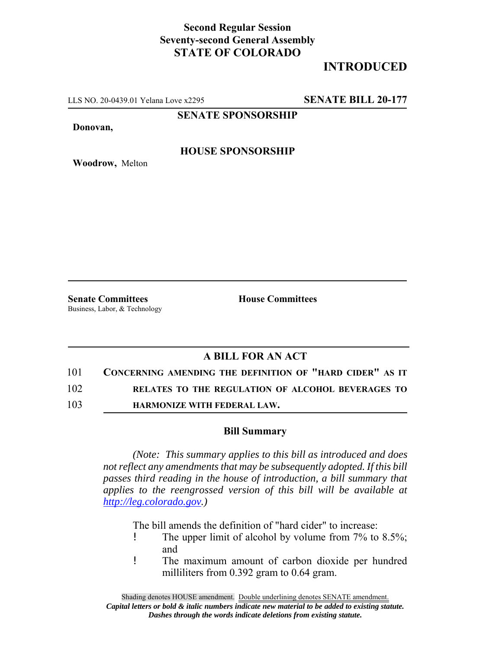## **Second Regular Session Seventy-second General Assembly STATE OF COLORADO**

# **INTRODUCED**

LLS NO. 20-0439.01 Yelana Love x2295 **SENATE BILL 20-177**

**SENATE SPONSORSHIP**

**Donovan,**

**Woodrow,** Melton

#### **HOUSE SPONSORSHIP**

**Senate Committees House Committees** Business, Labor, & Technology

### **A BILL FOR AN ACT**

101 **CONCERNING AMENDING THE DEFINITION OF "HARD CIDER" AS IT**

102 **RELATES TO THE REGULATION OF ALCOHOL BEVERAGES TO**

103 **HARMONIZE WITH FEDERAL LAW.**

#### **Bill Summary**

*(Note: This summary applies to this bill as introduced and does not reflect any amendments that may be subsequently adopted. If this bill passes third reading in the house of introduction, a bill summary that applies to the reengrossed version of this bill will be available at http://leg.colorado.gov.)*

The bill amends the definition of "hard cider" to increase:

- ! The upper limit of alcohol by volume from 7% to 8.5%; and
- ! The maximum amount of carbon dioxide per hundred milliliters from 0.392 gram to 0.64 gram.